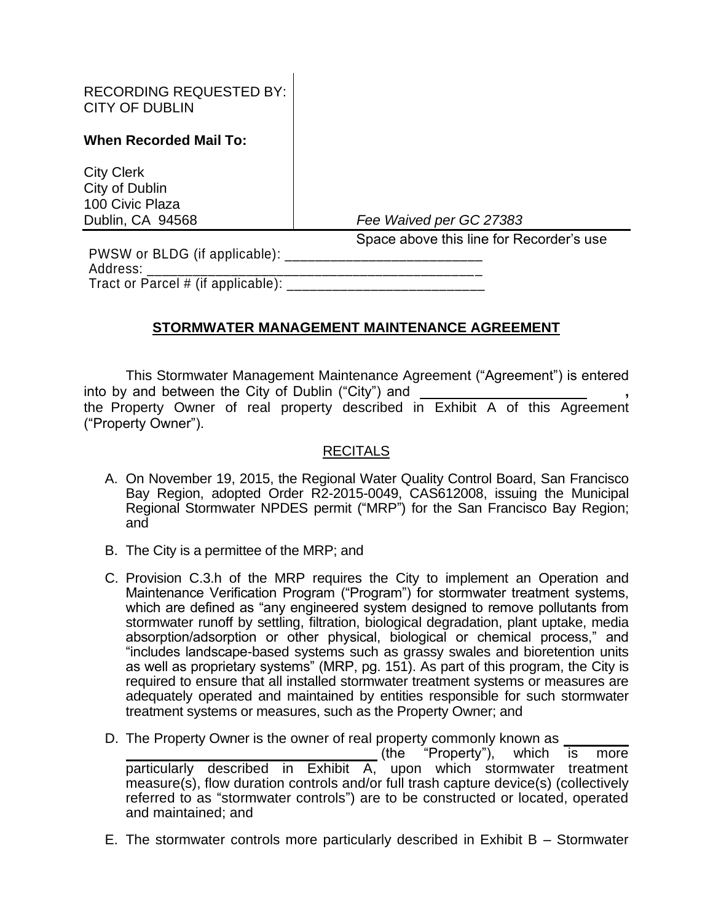## RECORDING REQUESTED BY: CITY OF DUBLIN

#### **When Recorded Mail To:**

City Clerk City of Dublin 100 Civic Plaza

Dublin, CA 94568 *Fee Waived per GC 27383*

Space above this line for Recorder's use

PWSW or BLDG (if applicable): Address: Tract or Parcel # (if applicable): \_\_\_\_\_\_\_\_\_\_\_\_\_\_\_\_\_\_\_\_\_\_\_\_\_\_

## **STORMWATER MANAGEMENT MAINTENANCE AGREEMENT**

This Stormwater Management Maintenance Agreement ("Agreement") is entered into by and between the City of Dublin ("City") and the Property Owner of real property described in Exhibit A of this Agreement ("Property Owner").

#### RECITALS

- A. On November 19, 2015, the Regional Water Quality Control Board, San Francisco Bay Region, adopted Order R2-2015-0049, CAS612008, issuing the Municipal Regional Stormwater NPDES permit ("MRP") for the San Francisco Bay Region; and
- B. The City is a permittee of the MRP; and
- C. Provision C.3.h of the MRP requires the City to implement an Operation and Maintenance Verification Program ("Program") for stormwater treatment systems, which are defined as "any engineered system designed to remove pollutants from stormwater runoff by settling, filtration, biological degradation, plant uptake, media absorption/adsorption or other physical, biological or chemical process," and "includes landscape-based systems such as grassy swales and bioretention units as well as proprietary systems" (MRP, pg. 151). As part of this program, the City is required to ensure that all installed stormwater treatment systems or measures are adequately operated and maintained by entities responsible for such stormwater treatment systems or measures, such as the Property Owner; and

D. The Property Owner is the owner of real property commonly known as

(the "Property"), which is more particularly described in Exhibit A, upon which stormwater treatment measure(s), flow duration controls and/or full trash capture device(s) (collectively referred to as "stormwater controls") are to be constructed or located, operated and maintained; and

E. The stormwater controls more particularly described in Exhibit B – Stormwater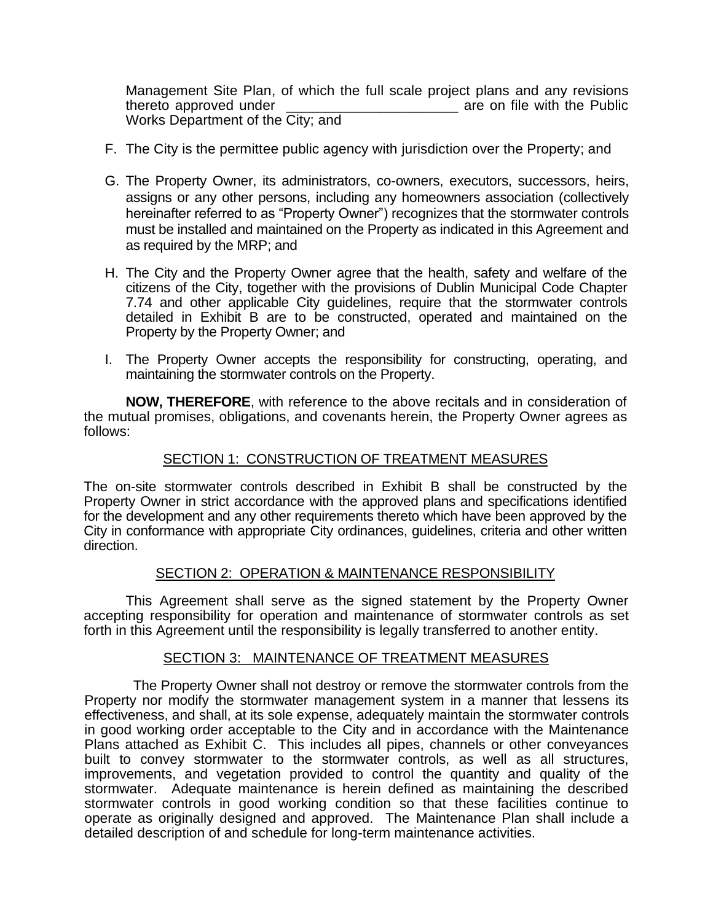Management Site Plan, of which the full scale project plans and any revisions thereto approved under **thereto are on file with the Public** Works Department of the City; and

- F. The City is the permittee public agency with jurisdiction over the Property; and
- G. The Property Owner, its administrators, co-owners, executors, successors, heirs, assigns or any other persons, including any homeowners association (collectively hereinafter referred to as "Property Owner") recognizes that the stormwater controls must be installed and maintained on the Property as indicated in this Agreement and as required by the MRP; and
- H. The City and the Property Owner agree that the health, safety and welfare of the citizens of the City, together with the provisions of Dublin Municipal Code Chapter 7.74 and other applicable City guidelines, require that the stormwater controls detailed in Exhibit B are to be constructed, operated and maintained on the Property by the Property Owner; and
- I. The Property Owner accepts the responsibility for constructing, operating, and maintaining the stormwater controls on the Property.

**NOW, THEREFORE**, with reference to the above recitals and in consideration of the mutual promises, obligations, and covenants herein, the Property Owner agrees as follows:

## SECTION 1: CONSTRUCTION OF TREATMENT MEASURES

The on-site stormwater controls described in Exhibit B shall be constructed by the Property Owner in strict accordance with the approved plans and specifications identified for the development and any other requirements thereto which have been approved by the City in conformance with appropriate City ordinances, guidelines, criteria and other written direction.

#### SECTION 2: OPERATION & MAINTENANCE RESPONSIBILITY

This Agreement shall serve as the signed statement by the Property Owner accepting responsibility for operation and maintenance of stormwater controls as set forth in this Agreement until the responsibility is legally transferred to another entity.

#### SECTION 3: MAINTENANCE OF TREATMENT MEASURES

 The Property Owner shall not destroy or remove the stormwater controls from the Property nor modify the stormwater management system in a manner that lessens its effectiveness, and shall, at its sole expense, adequately maintain the stormwater controls in good working order acceptable to the City and in accordance with the Maintenance Plans attached as Exhibit C. This includes all pipes, channels or other conveyances built to convey stormwater to the stormwater controls, as well as all structures, improvements, and vegetation provided to control the quantity and quality of the stormwater. Adequate maintenance is herein defined as maintaining the described stormwater controls in good working condition so that these facilities continue to operate as originally designed and approved. The Maintenance Plan shall include a detailed description of and schedule for long-term maintenance activities.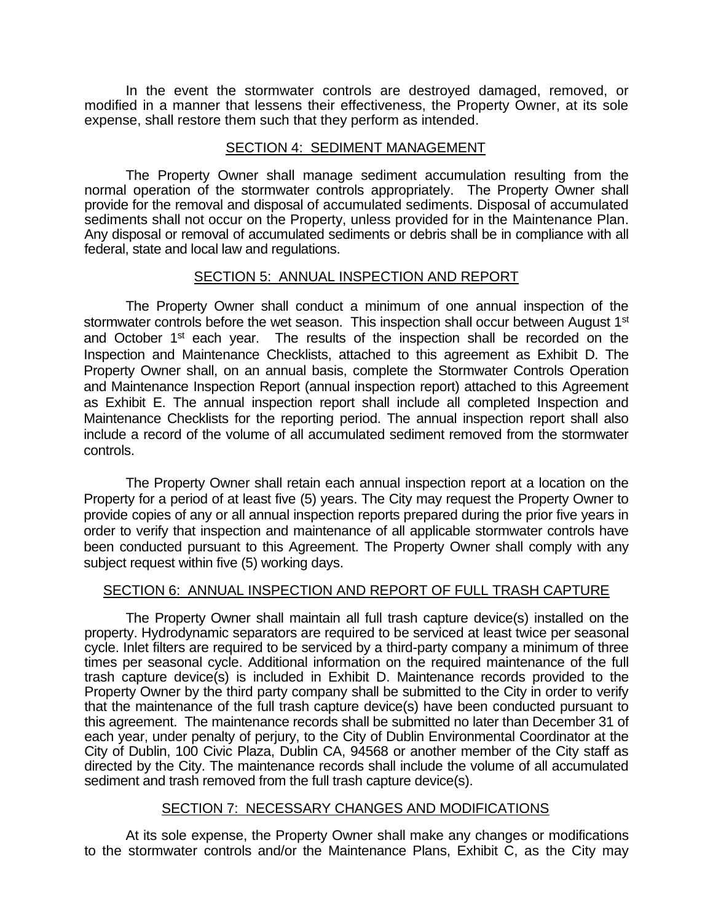In the event the stormwater controls are destroyed damaged, removed, or modified in a manner that lessens their effectiveness, the Property Owner, at its sole expense, shall restore them such that they perform as intended.

## SECTION 4: SEDIMENT MANAGEMENT

The Property Owner shall manage sediment accumulation resulting from the normal operation of the stormwater controls appropriately. The Property Owner shall provide for the removal and disposal of accumulated sediments. Disposal of accumulated sediments shall not occur on the Property, unless provided for in the Maintenance Plan. Any disposal or removal of accumulated sediments or debris shall be in compliance with all federal, state and local law and regulations.

## SECTION 5: ANNUAL INSPECTION AND REPORT

The Property Owner shall conduct a minimum of one annual inspection of the stormwater controls before the wet season. This inspection shall occur between August 1<sup>st</sup> and October  $1<sup>st</sup>$  each year. The results of the inspection shall be recorded on the Inspection and Maintenance Checklists, attached to this agreement as Exhibit D. The Property Owner shall, on an annual basis, complete the Stormwater Controls Operation and Maintenance Inspection Report (annual inspection report) attached to this Agreement as Exhibit E. The annual inspection report shall include all completed Inspection and Maintenance Checklists for the reporting period. The annual inspection report shall also include a record of the volume of all accumulated sediment removed from the stormwater controls.

The Property Owner shall retain each annual inspection report at a location on the Property for a period of at least five (5) years. The City may request the Property Owner to provide copies of any or all annual inspection reports prepared during the prior five years in order to verify that inspection and maintenance of all applicable stormwater controls have been conducted pursuant to this Agreement. The Property Owner shall comply with any subject request within five (5) working days.

## SECTION 6: ANNUAL INSPECTION AND REPORT OF FULL TRASH CAPTURE

The Property Owner shall maintain all full trash capture device(s) installed on the property. Hydrodynamic separators are required to be serviced at least twice per seasonal cycle. Inlet filters are required to be serviced by a third-party company a minimum of three times per seasonal cycle. Additional information on the required maintenance of the full trash capture device(s) is included in Exhibit D. Maintenance records provided to the Property Owner by the third party company shall be submitted to the City in order to verify that the maintenance of the full trash capture device(s) have been conducted pursuant to this agreement. The maintenance records shall be submitted no later than December 31 of each year, under penalty of perjury, to the City of Dublin Environmental Coordinator at the City of Dublin, 100 Civic Plaza, Dublin CA, 94568 or another member of the City staff as directed by the City. The maintenance records shall include the volume of all accumulated sediment and trash removed from the full trash capture device(s).

#### SECTION 7: NECESSARY CHANGES AND MODIFICATIONS

At its sole expense, the Property Owner shall make any changes or modifications to the stormwater controls and/or the Maintenance Plans, Exhibit C, as the City may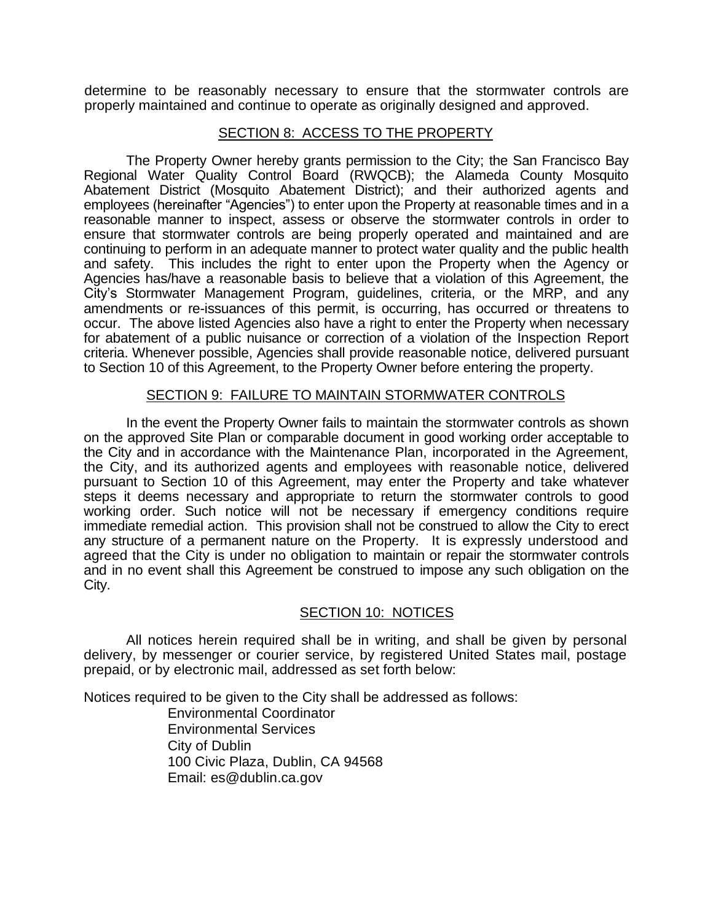determine to be reasonably necessary to ensure that the stormwater controls are properly maintained and continue to operate as originally designed and approved.

#### SECTION 8: ACCESS TO THE PROPERTY

The Property Owner hereby grants permission to the City; the San Francisco Bay Regional Water Quality Control Board (RWQCB); the Alameda County Mosquito Abatement District (Mosquito Abatement District); and their authorized agents and employees (hereinafter "Agencies") to enter upon the Property at reasonable times and in a reasonable manner to inspect, assess or observe the stormwater controls in order to ensure that stormwater controls are being properly operated and maintained and are continuing to perform in an adequate manner to protect water quality and the public health and safety. This includes the right to enter upon the Property when the Agency or Agencies has/have a reasonable basis to believe that a violation of this Agreement, the City's Stormwater Management Program, guidelines, criteria, or the MRP, and any amendments or re-issuances of this permit, is occurring, has occurred or threatens to occur. The above listed Agencies also have a right to enter the Property when necessary for abatement of a public nuisance or correction of a violation of the Inspection Report criteria. Whenever possible, Agencies shall provide reasonable notice, delivered pursuant to Section 10 of this Agreement, to the Property Owner before entering the property.

## SECTION 9: FAILURE TO MAINTAIN STORMWATER CONTROLS

In the event the Property Owner fails to maintain the stormwater controls as shown on the approved Site Plan or comparable document in good working order acceptable to the City and in accordance with the Maintenance Plan, incorporated in the Agreement, the City, and its authorized agents and employees with reasonable notice, delivered pursuant to Section 10 of this Agreement, may enter the Property and take whatever steps it deems necessary and appropriate to return the stormwater controls to good working order. Such notice will not be necessary if emergency conditions require immediate remedial action. This provision shall not be construed to allow the City to erect any structure of a permanent nature on the Property. It is expressly understood and agreed that the City is under no obligation to maintain or repair the stormwater controls and in no event shall this Agreement be construed to impose any such obligation on the City.

## SECTION 10: NOTICES

All notices herein required shall be in writing, and shall be given by personal delivery, by messenger or courier service, by registered United States mail, postage prepaid, or by electronic mail, addressed as set forth below:

Notices required to be given to the City shall be addressed as follows:

 Environmental Coordinator Environmental Services City of Dublin 100 Civic Plaza, Dublin, CA 94568 Email: es@dublin.ca.gov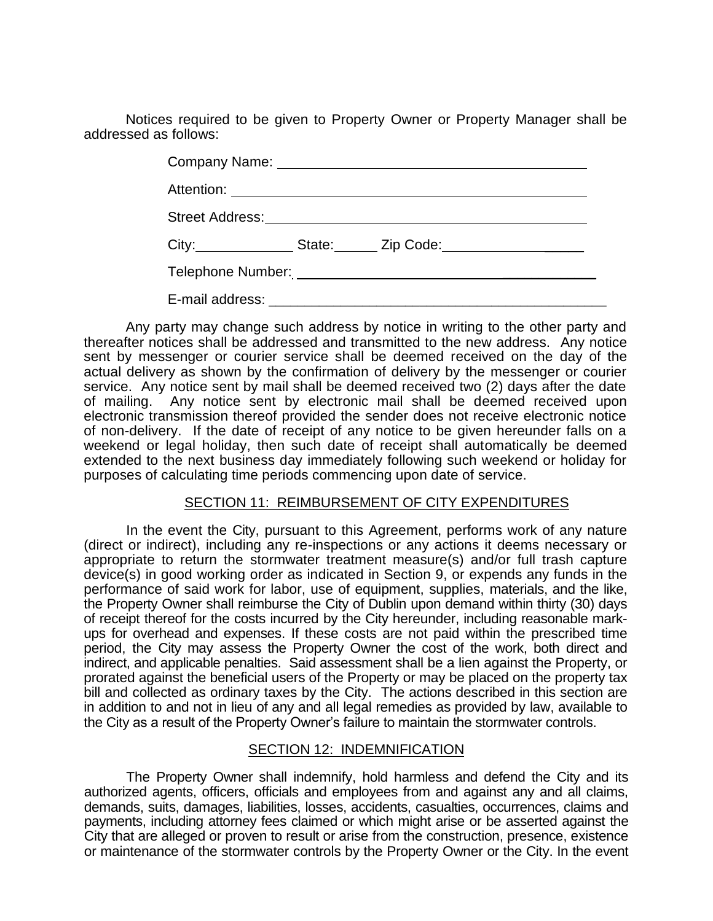Notices required to be given to Property Owner or Property Manager shall be addressed as follows:

| Street Address: The Contract of the Contract of the Contract of the Contract of the Contract of the Contract of the Contract of the Contract of the Contract of the Contract of the Contract of the Contract of the Contract o |  |                              |
|--------------------------------------------------------------------------------------------------------------------------------------------------------------------------------------------------------------------------------|--|------------------------------|
|                                                                                                                                                                                                                                |  | City: State: Zip Code: City: |
|                                                                                                                                                                                                                                |  |                              |
|                                                                                                                                                                                                                                |  |                              |

Any party may change such address by notice in writing to the other party and thereafter notices shall be addressed and transmitted to the new address. Any notice sent by messenger or courier service shall be deemed received on the day of the actual delivery as shown by the confirmation of delivery by the messenger or courier service. Any notice sent by mail shall be deemed received two (2) days after the date of mailing. Any notice sent by electronic mail shall be deemed received upon electronic transmission thereof provided the sender does not receive electronic notice of non-delivery. If the date of receipt of any notice to be given hereunder falls on a weekend or legal holiday, then such date of receipt shall automatically be deemed extended to the next business day immediately following such weekend or holiday for purposes of calculating time periods commencing upon date of service.

#### SECTION 11: REIMBURSEMENT OF CITY EXPENDITURES

In the event the City, pursuant to this Agreement, performs work of any nature (direct or indirect), including any re-inspections or any actions it deems necessary or appropriate to return the stormwater treatment measure(s) and/or full trash capture device(s) in good working order as indicated in Section 9, or expends any funds in the performance of said work for labor, use of equipment, supplies, materials, and the like, the Property Owner shall reimburse the City of Dublin upon demand within thirty (30) days of receipt thereof for the costs incurred by the City hereunder, including reasonable markups for overhead and expenses. If these costs are not paid within the prescribed time period, the City may assess the Property Owner the cost of the work, both direct and indirect, and applicable penalties. Said assessment shall be a lien against the Property, or prorated against the beneficial users of the Property or may be placed on the property tax bill and collected as ordinary taxes by the City. The actions described in this section are in addition to and not in lieu of any and all legal remedies as provided by law, available to the City as a result of the Property Owner's failure to maintain the stormwater controls.

#### SECTION 12: INDEMNIFICATION

The Property Owner shall indemnify, hold harmless and defend the City and its authorized agents, officers, officials and employees from and against any and all claims, demands, suits, damages, liabilities, losses, accidents, casualties, occurrences, claims and payments, including attorney fees claimed or which might arise or be asserted against the City that are alleged or proven to result or arise from the construction, presence, existence or maintenance of the stormwater controls by the Property Owner or the City. In the event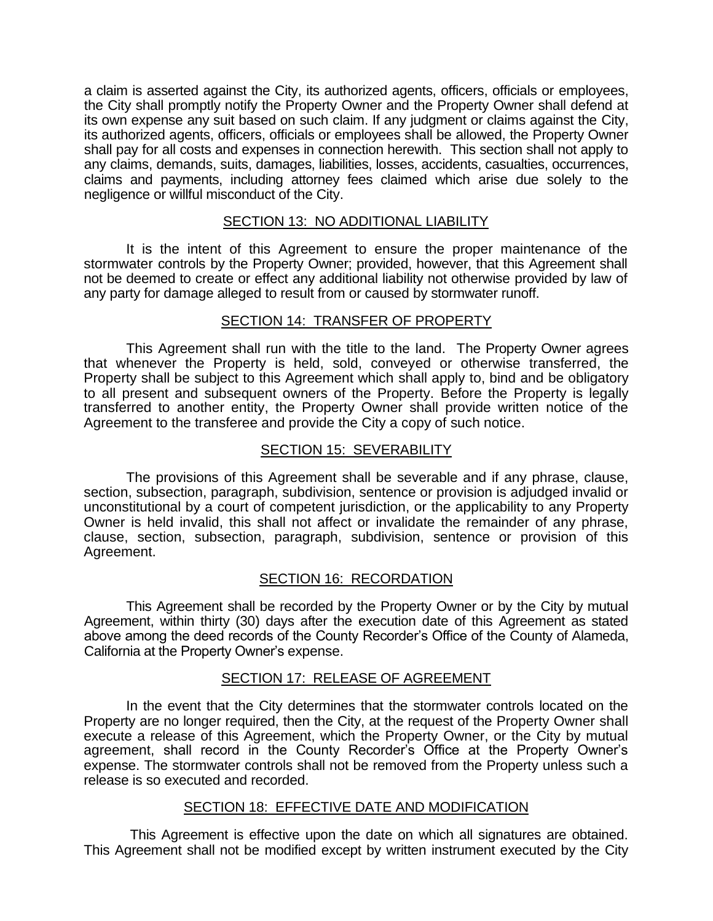a claim is asserted against the City, its authorized agents, officers, officials or employees, the City shall promptly notify the Property Owner and the Property Owner shall defend at its own expense any suit based on such claim. If any judgment or claims against the City, its authorized agents, officers, officials or employees shall be allowed, the Property Owner shall pay for all costs and expenses in connection herewith. This section shall not apply to any claims, demands, suits, damages, liabilities, losses, accidents, casualties, occurrences, claims and payments, including attorney fees claimed which arise due solely to the negligence or willful misconduct of the City.

## SECTION 13: NO ADDITIONAL LIABILITY

It is the intent of this Agreement to ensure the proper maintenance of the stormwater controls by the Property Owner; provided, however, that this Agreement shall not be deemed to create or effect any additional liability not otherwise provided by law of any party for damage alleged to result from or caused by stormwater runoff.

## SECTION 14: TRANSFER OF PROPERTY

This Agreement shall run with the title to the land. The Property Owner agrees that whenever the Property is held, sold, conveyed or otherwise transferred, the Property shall be subject to this Agreement which shall apply to, bind and be obligatory to all present and subsequent owners of the Property. Before the Property is legally transferred to another entity, the Property Owner shall provide written notice of the Agreement to the transferee and provide the City a copy of such notice.

## SECTION 15: SEVERABILITY

The provisions of this Agreement shall be severable and if any phrase, clause, section, subsection, paragraph, subdivision, sentence or provision is adjudged invalid or unconstitutional by a court of competent jurisdiction, or the applicability to any Property Owner is held invalid, this shall not affect or invalidate the remainder of any phrase, clause, section, subsection, paragraph, subdivision, sentence or provision of this Agreement.

## SECTION 16: RECORDATION

This Agreement shall be recorded by the Property Owner or by the City by mutual Agreement, within thirty (30) days after the execution date of this Agreement as stated above among the deed records of the County Recorder's Office of the County of Alameda, California at the Property Owner's expense.

#### SECTION 17: RELEASE OF AGREEMENT

In the event that the City determines that the stormwater controls located on the Property are no longer required, then the City, at the request of the Property Owner shall execute a release of this Agreement, which the Property Owner, or the City by mutual agreement, shall record in the County Recorder's Office at the Property Owner's expense. The stormwater controls shall not be removed from the Property unless such a release is so executed and recorded.

## SECTION 18: EFFECTIVE DATE AND MODIFICATION

This Agreement is effective upon the date on which all signatures are obtained. This Agreement shall not be modified except by written instrument executed by the City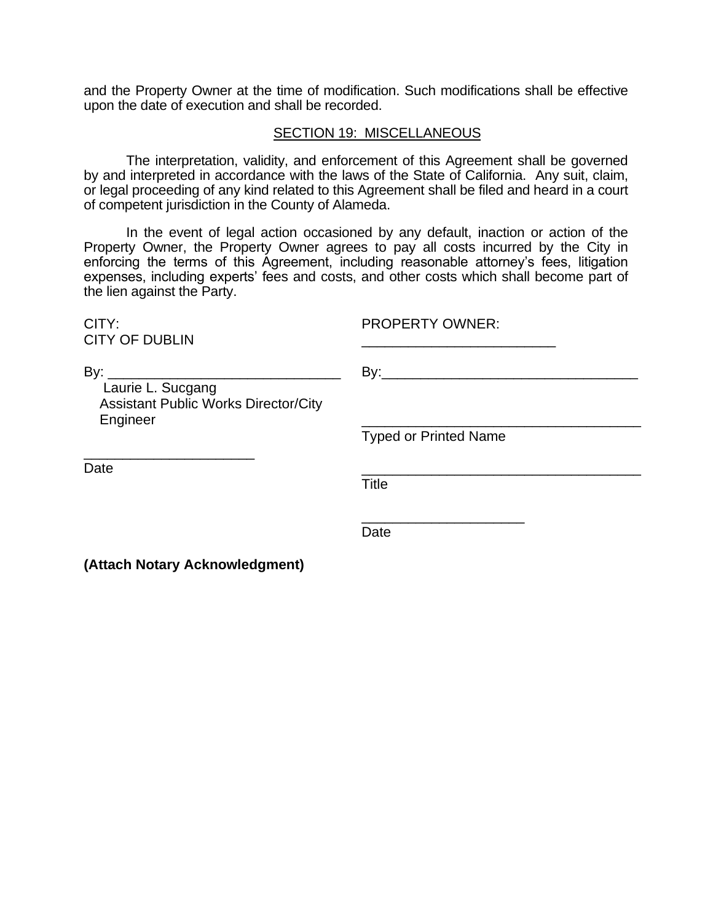and the Property Owner at the time of modification. Such modifications shall be effective upon the date of execution and shall be recorded.

#### SECTION 19: MISCELLANEOUS

The interpretation, validity, and enforcement of this Agreement shall be governed by and interpreted in accordance with the laws of the State of California. Any suit, claim, or legal proceeding of any kind related to this Agreement shall be filed and heard in a court of competent jurisdiction in the County of Alameda.

In the event of legal action occasioned by any default, inaction or action of the Property Owner, the Property Owner agrees to pay all costs incurred by the City in enforcing the terms of this Agreement, including reasonable attorney's fees, litigation expenses, including experts' fees and costs, and other costs which shall become part of the lien against the Party.

PROPERTY OWNER:

 $\overline{\phantom{a}}$ : $\overline{\phantom{a}}$ :

| CHY:<br><b>CITY OF DUBLIN</b>                                                | <b>PROPERTY OWNER:</b>       |
|------------------------------------------------------------------------------|------------------------------|
| Laurie L. Sucgang<br><b>Assistant Public Works Director/City</b><br>Engineer |                              |
|                                                                              | <b>Typed or Printed Name</b> |
| Date                                                                         | <b>Title</b>                 |
|                                                                              | Date                         |
| (Attach Notary Acknowledgment)                                               |                              |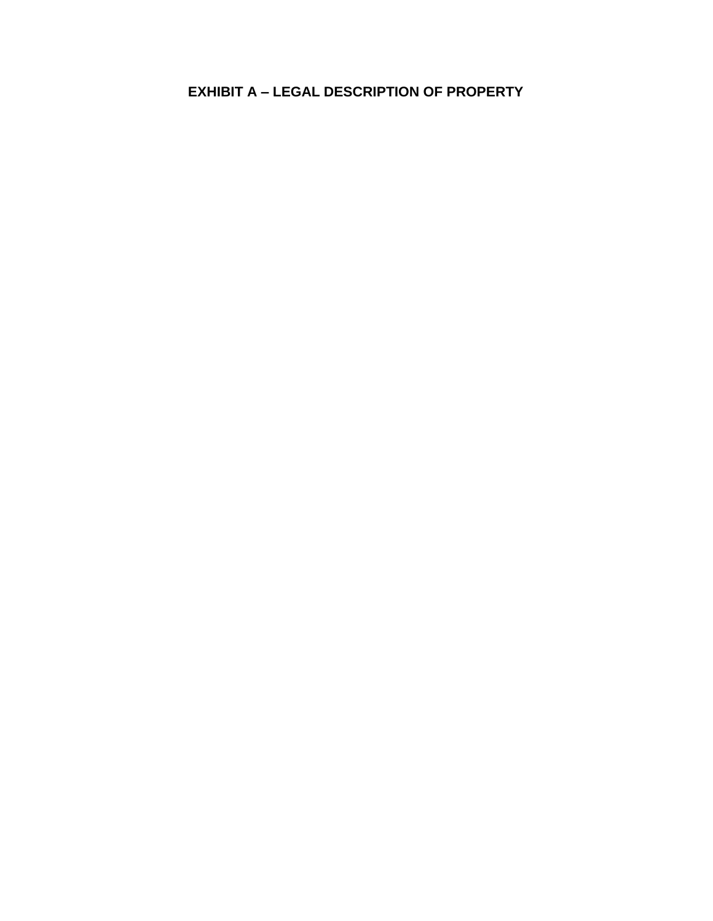# **EXHIBIT A – LEGAL DESCRIPTION OF PROPERTY**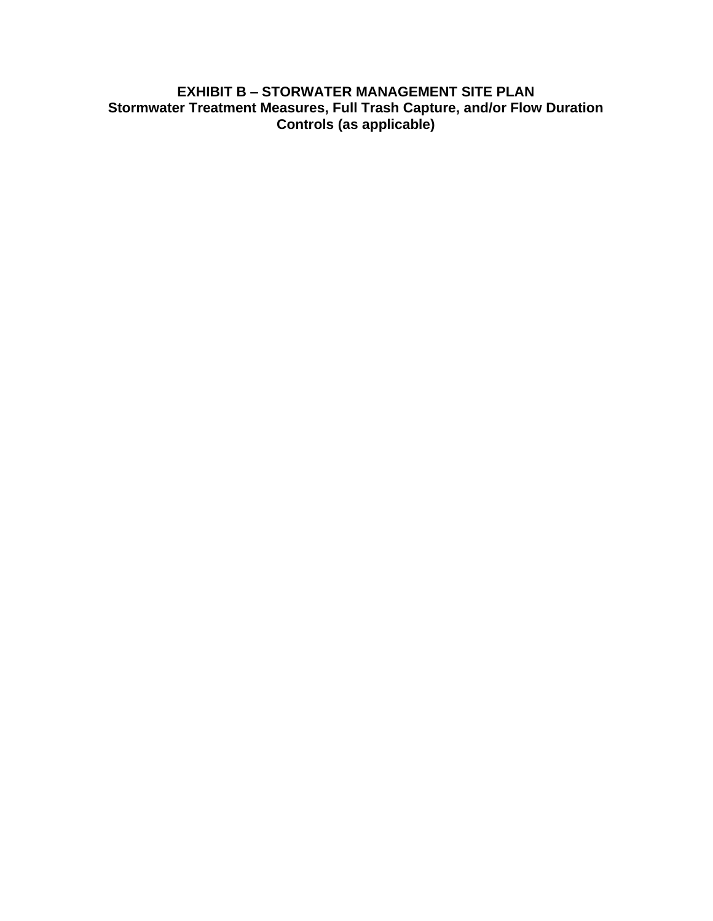## **EXHIBIT B – STORWATER MANAGEMENT SITE PLAN Stormwater Treatment Measures, Full Trash Capture, and/or Flow Duration Controls (as applicable)**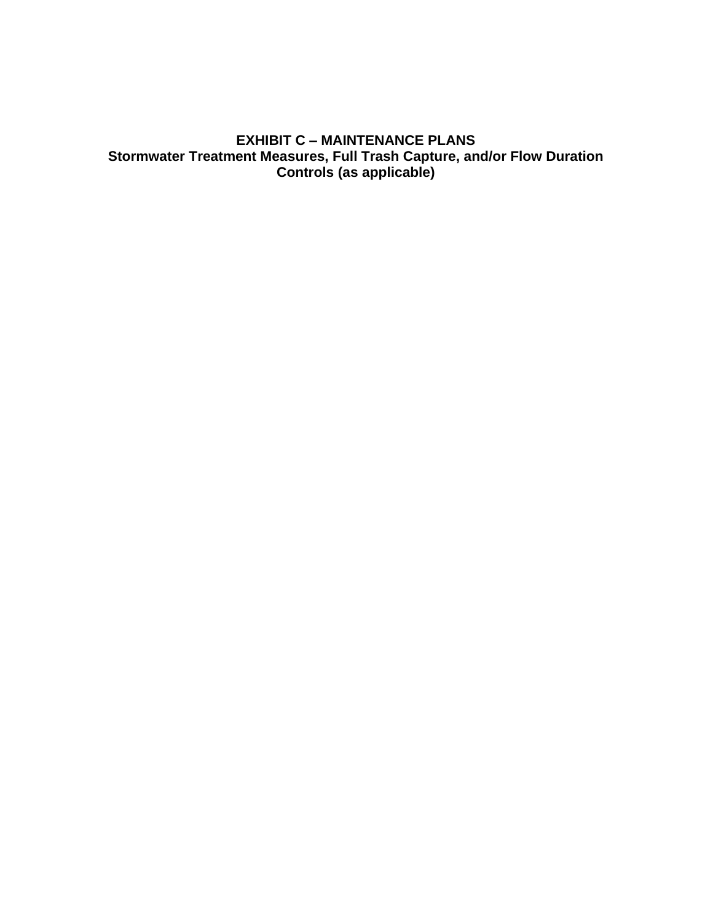## **EXHIBIT C – MAINTENANCE PLANS Stormwater Treatment Measures, Full Trash Capture, and/or Flow Duration Controls (as applicable)**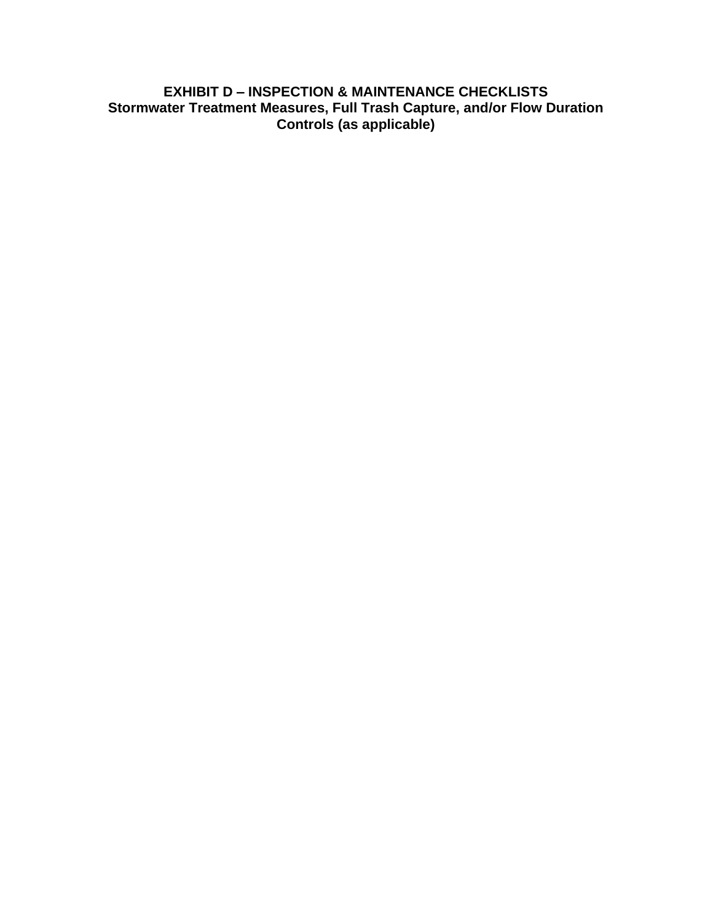## **EXHIBIT D – INSPECTION & MAINTENANCE CHECKLISTS Stormwater Treatment Measures, Full Trash Capture, and/or Flow Duration Controls (as applicable)**